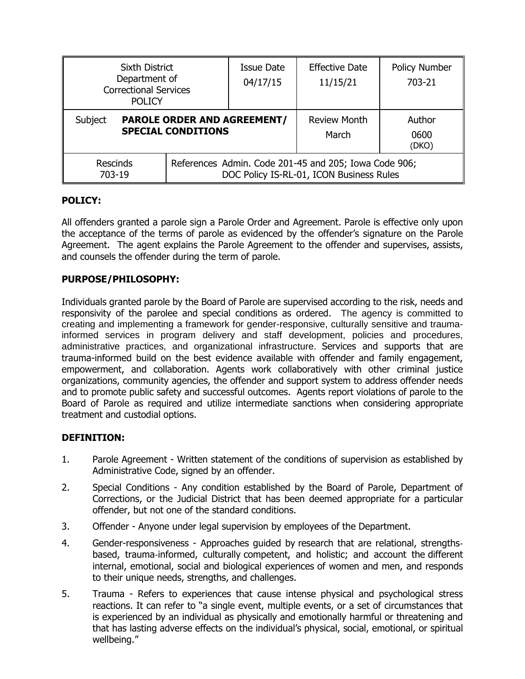| <b>Sixth District</b><br>Department of<br><b>Correctional Services</b><br><b>POLICY</b> |  | Issue Date<br>04/17/15                                                                            | <b>Effective Date</b><br>11/15/21 | <b>Policy Number</b><br>703-21 |
|-----------------------------------------------------------------------------------------|--|---------------------------------------------------------------------------------------------------|-----------------------------------|--------------------------------|
| Subject<br><b>PAROLE ORDER AND AGREEMENT/</b><br><b>SPECIAL CONDITIONS</b>              |  | <b>Review Month</b><br>March                                                                      | Author<br>0600<br>(DKO)           |                                |
| <b>Rescinds</b><br>703-19                                                               |  | References Admin. Code 201-45 and 205; Iowa Code 906;<br>DOC Policy IS-RL-01, ICON Business Rules |                                   |                                |

# **POLICY:**

All offenders granted a parole sign a Parole Order and Agreement. Parole is effective only upon the acceptance of the terms of parole as evidenced by the offender's signature on the Parole Agreement. The agent explains the Parole Agreement to the offender and supervises, assists, and counsels the offender during the term of parole.

# **PURPOSE/PHILOSOPHY:**

Individuals granted parole by the Board of Parole are supervised according to the risk, needs and responsivity of the parolee and special conditions as ordered. The agency is committed to creating and implementing a framework for gender-responsive, culturally sensitive and traumainformed services in program delivery and staff development, policies and procedures, administrative practices, and organizational infrastructure. Services and supports that are trauma-informed build on the best evidence available with offender and family engagement, empowerment, and collaboration. Agents work collaboratively with other criminal justice organizations, community agencies, the offender and support system to address offender needs and to promote public safety and successful outcomes. Agents report violations of parole to the Board of Parole as required and utilize intermediate sanctions when considering appropriate treatment and custodial options.

### **DEFINITION:**

- 1. Parole Agreement Written statement of the conditions of supervision as established by Administrative Code, signed by an offender.
- 2. Special Conditions Any condition established by the Board of Parole, Department of Corrections, or the Judicial District that has been deemed appropriate for a particular offender, but not one of the standard conditions.
- 3. Offender Anyone under legal supervision by employees of the Department.
- 4. Gender-responsiveness Approaches guided by research that are relational, strengths‐ based, trauma‐informed, culturally competent, and holistic; and account the different internal, emotional, social and biological experiences of women and men, and responds to their unique needs, strengths, and challenges.
- 5. Trauma Refers to experiences that cause intense physical and psychological stress reactions. It can refer to "a single event, multiple events, or a set of circumstances that is experienced by an individual as physically and emotionally harmful or threatening and that has lasting adverse effects on the individual's physical, social, emotional, or spiritual wellbeing."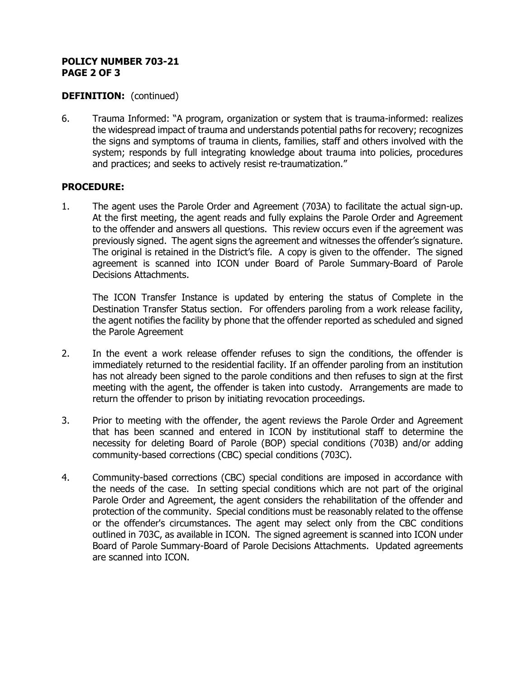### **POLICY NUMBER 703-21 PAGE 2 OF 3**

### **DEFINITION:** (continued)

6. Trauma Informed: "A program, organization or system that is trauma-informed: realizes the widespread impact of trauma and understands potential paths for recovery; recognizes the signs and symptoms of trauma in clients, families, staff and others involved with the system; responds by full integrating knowledge about trauma into policies, procedures and practices; and seeks to actively resist re-traumatization."

#### **PROCEDURE:**

1. The agent uses the Parole Order and Agreement (703A) to facilitate the actual sign-up. At the first meeting, the agent reads and fully explains the Parole Order and Agreement to the offender and answers all questions. This review occurs even if the agreement was previously signed. The agent signs the agreement and witnesses the offender's signature. The original is retained in the District's file. A copy is given to the offender. The signed agreement is scanned into ICON under Board of Parole Summary-Board of Parole Decisions Attachments.

The ICON Transfer Instance is updated by entering the status of Complete in the Destination Transfer Status section. For offenders paroling from a work release facility, the agent notifies the facility by phone that the offender reported as scheduled and signed the Parole Agreement

- 2. In the event a work release offender refuses to sign the conditions, the offender is immediately returned to the residential facility. If an offender paroling from an institution has not already been signed to the parole conditions and then refuses to sign at the first meeting with the agent, the offender is taken into custody. Arrangements are made to return the offender to prison by initiating revocation proceedings.
- 3. Prior to meeting with the offender, the agent reviews the Parole Order and Agreement that has been scanned and entered in ICON by institutional staff to determine the necessity for deleting Board of Parole (BOP) special conditions (703B) and/or adding community-based corrections (CBC) special conditions (703C).
- 4. Community-based corrections (CBC) special conditions are imposed in accordance with the needs of the case. In setting special conditions which are not part of the original Parole Order and Agreement, the agent considers the rehabilitation of the offender and protection of the community. Special conditions must be reasonably related to the offense or the offender's circumstances. The agent may select only from the CBC conditions outlined in 703C, as available in ICON. The signed agreement is scanned into ICON under Board of Parole Summary-Board of Parole Decisions Attachments. Updated agreements are scanned into ICON.